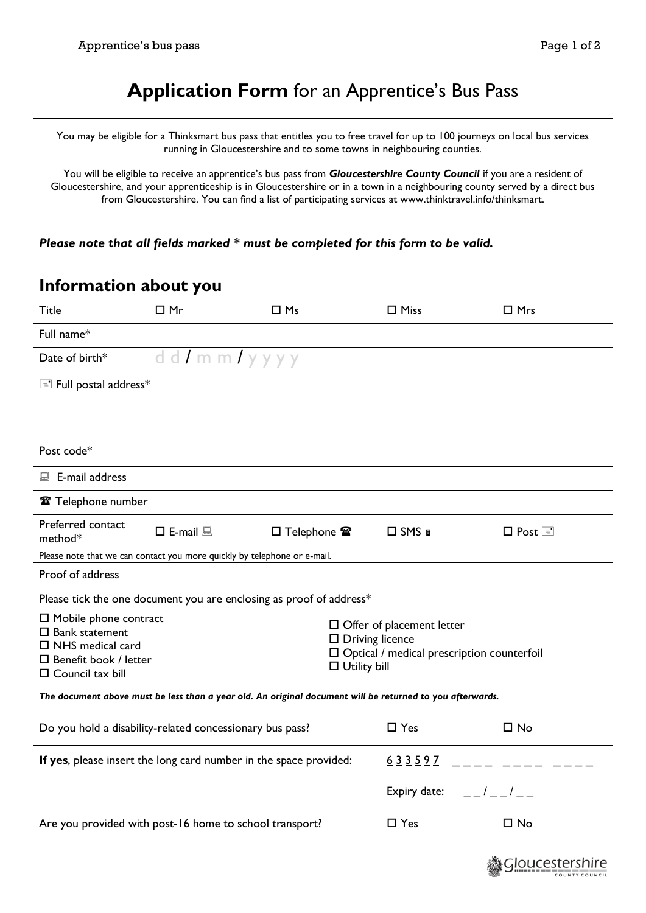# **Application Form** for an Apprentice's Bus Pass

You may be eligible for a Thinksmart bus pass that entitles you to free travel for up to 100 journeys on local bus services running in Gloucestershire and to some towns in neighbouring counties.

You will be eligible to receive an apprentice's bus pass from *Gloucestershire County Council* if you are a resident of Gloucestershire, and your apprenticeship is in Gloucestershire or in a town in a neighbouring county served by a direct bus from Gloucestershire. You can find a list of participating services at www.thinktravel.info/thinksmart.

*Please note that all fields marked \* must be completed for this form to be valid.*

#### **Information about you**

| <b>Title</b>                                                                                                                                         | $\Box$ Mr                  | $\Box$ Ms                                  | $\Box$ Miss                                                                                                                               | $\Box$ Mrs               |  |  |
|------------------------------------------------------------------------------------------------------------------------------------------------------|----------------------------|--------------------------------------------|-------------------------------------------------------------------------------------------------------------------------------------------|--------------------------|--|--|
| Full name*                                                                                                                                           |                            |                                            |                                                                                                                                           |                          |  |  |
| Date of birth*                                                                                                                                       | dd/mm/yyyy                 |                                            |                                                                                                                                           |                          |  |  |
| E Full postal address*                                                                                                                               |                            |                                            |                                                                                                                                           |                          |  |  |
|                                                                                                                                                      |                            |                                            |                                                                                                                                           |                          |  |  |
|                                                                                                                                                      |                            |                                            |                                                                                                                                           |                          |  |  |
| Post code*                                                                                                                                           |                            |                                            |                                                                                                                                           |                          |  |  |
| $\blacksquare$ E-mail address                                                                                                                        |                            |                                            |                                                                                                                                           |                          |  |  |
| Telephone number                                                                                                                                     |                            |                                            |                                                                                                                                           |                          |  |  |
| Preferred contact<br>method*                                                                                                                         | $\square$ E-mail $\square$ | $\square$ Telephone $\mathbf{\mathcal{F}}$ | $\Box$ SMS $\Box$                                                                                                                         | $\square$ Post $\square$ |  |  |
| Please note that we can contact you more quickly by telephone or e-mail.                                                                             |                            |                                            |                                                                                                                                           |                          |  |  |
| Proof of address                                                                                                                                     |                            |                                            |                                                                                                                                           |                          |  |  |
| Please tick the one document you are enclosing as proof of address*                                                                                  |                            |                                            |                                                                                                                                           |                          |  |  |
| $\Box$ Mobile phone contract<br>$\square$ Bank statement<br>$\Box$ NHS medical card<br>$\square$ Benefit book / letter<br>$\square$ Council tax bill |                            |                                            | $\Box$ Offer of placement letter<br>$\square$ Driving licence<br>$\Box$ Optical / medical prescription counterfoil<br>$\Box$ Utility bill |                          |  |  |
| The document above must be less than a year old. An original document will be returned to you afterwards.                                            |                            |                                            |                                                                                                                                           |                          |  |  |
| Do you hold a disability-related concessionary bus pass?                                                                                             |                            |                                            | $\Box$ Yes                                                                                                                                | $\square$ No             |  |  |
| If yes, please insert the long card number in the space provided:                                                                                    |                            |                                            | 633597                                                                                                                                    |                          |  |  |
|                                                                                                                                                      |                            |                                            | Expiry date:                                                                                                                              | $\frac{1}{2}$            |  |  |
| Are you provided with post-16 home to school transport?                                                                                              |                            |                                            | $\Box$ Yes                                                                                                                                | $\square$ No             |  |  |